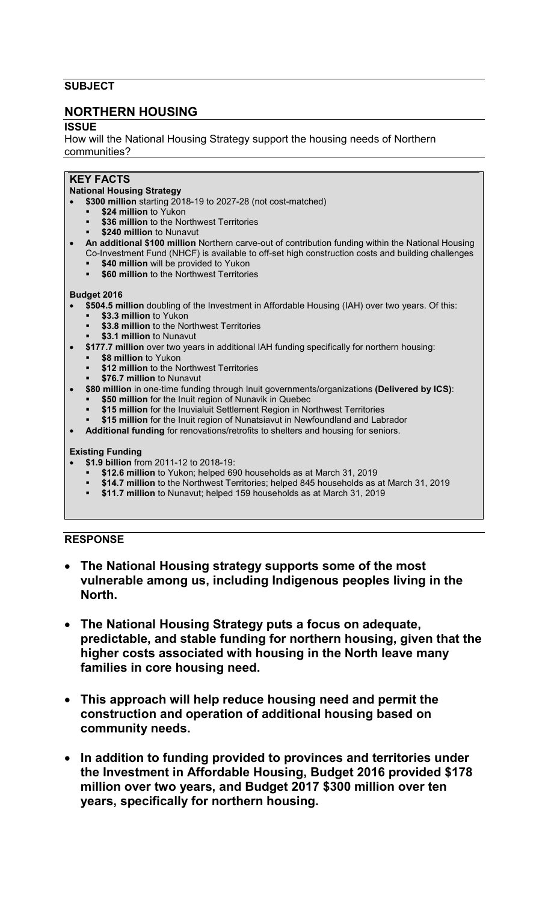## **SUBJECT**

## **NORTHERN HOUSING**

**ISSUE** 

How will the National Housing Strategy support the housing needs of Northern communities?

# **KEY FACTS**

## **National Housing Strategy**

- **\$300 million** starting 2018-19 to 2027-28 (not cost-matched)
	- **\$24 million** to Yukon
		- **\$36 million** to the Northwest Territories
		- **\$240 million** to Nunavut
- **An additional \$100 million** Northern carve-out of contribution funding within the National Housing Co-Investment Fund (NHCF) is available to off-set high construction costs and building challenges
	- **\$40 million** will be provided to Yukon
	- **\$60 million** to the Northwest Territories

#### **Budget 2016**

- **\$504.5 million** doubling of the Investment in Affordable Housing (IAH) over two years. Of this:
	- **\$3.3 million** to Yukon
	- **\$3.8 million** to the Northwest Territories
- **\$3.1 million** to Nunavut • **\$177.7 million** over two years in additional IAH funding specifically for northern housing:
	- **\$8 million** to Yukon
	- **\$12 million** to the Northwest Territories
	- **\$76.7 million** to Nunavut
- **\$80 million** in one-time funding through Inuit governments/organizations **(Delivered by ICS)**:
	- **\$50 million** for the Inuit region of Nunavik in Quebec
		- **\$15 million** for the Inuvialuit Settlement Region in Northwest Territories
	- **\$15 million** for the Inuit region of Nunatsiavut in Newfoundland and Labrador
- **Additional funding** for renovations/retrofits to shelters and housing for seniors.

#### **Existing Funding**

- **\$1.9 billion** from 2011-12 to 2018-19:
	- **\$12.6 million** to Yukon; helped 690 households as at March 31, 2019
	- **\$14.7 million** to the Northwest Territories; helped 845 households as at March 31, 2019
	- **\$11.7 million** to Nunavut; helped 159 households as at March 31, 2019

#### **RESPONSE**

- **The National Housing strategy supports some of the most vulnerable among us, including Indigenous peoples living in the North.**
- **The National Housing Strategy puts a focus on adequate, predictable, and stable funding for northern housing, given that the higher costs associated with housing in the North leave many families in core housing need.**
- **This approach will help reduce housing need and permit the construction and operation of additional housing based on community needs.**
- **In addition to funding provided to provinces and territories under the Investment in Affordable Housing, Budget 2016 provided \$178 million over two years, and Budget 2017 \$300 million over ten years, specifically for northern housing.**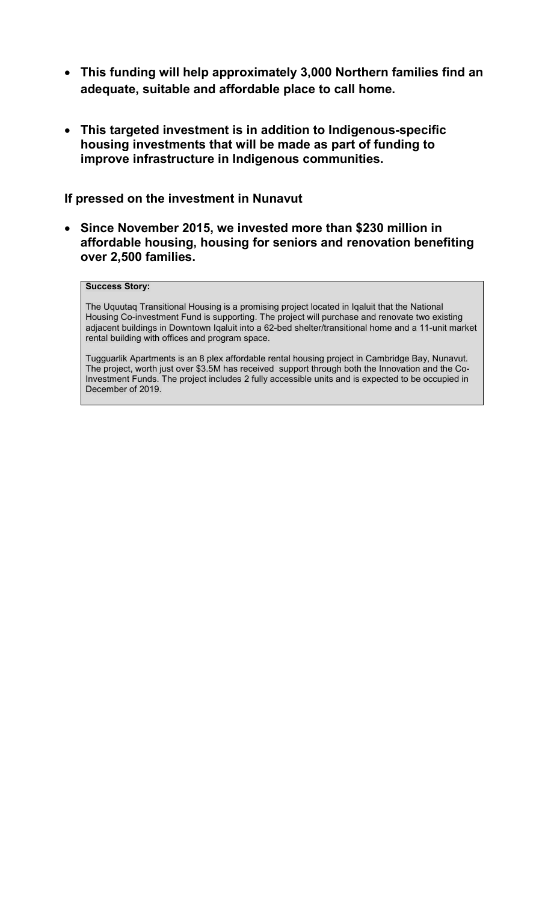- **This funding will help approximately 3,000 Northern families find an adequate, suitable and affordable place to call home.**
- **This targeted investment is in addition to Indigenous-specific housing investments that will be made as part of funding to improve infrastructure in Indigenous communities.**

# **If pressed on the investment in Nunavut**

• **Since November 2015, we invested more than \$230 million in affordable housing, housing for seniors and renovation benefiting over 2,500 families.** 

### **Success Story:**

The Uquutaq Transitional Housing is a promising project located in Iqaluit that the National Housing Co-investment Fund is supporting. The project will purchase and renovate two existing adjacent buildings in Downtown Iqaluit into a 62-bed shelter/transitional home and a 11-unit market rental building with offices and program space.

Tugguarlik Apartments is an 8 plex affordable rental housing project in Cambridge Bay, Nunavut. The project, worth just over \$3.5M has received support through both the Innovation and the Co-Investment Funds. The project includes 2 fully accessible units and is expected to be occupied in December of 2019.